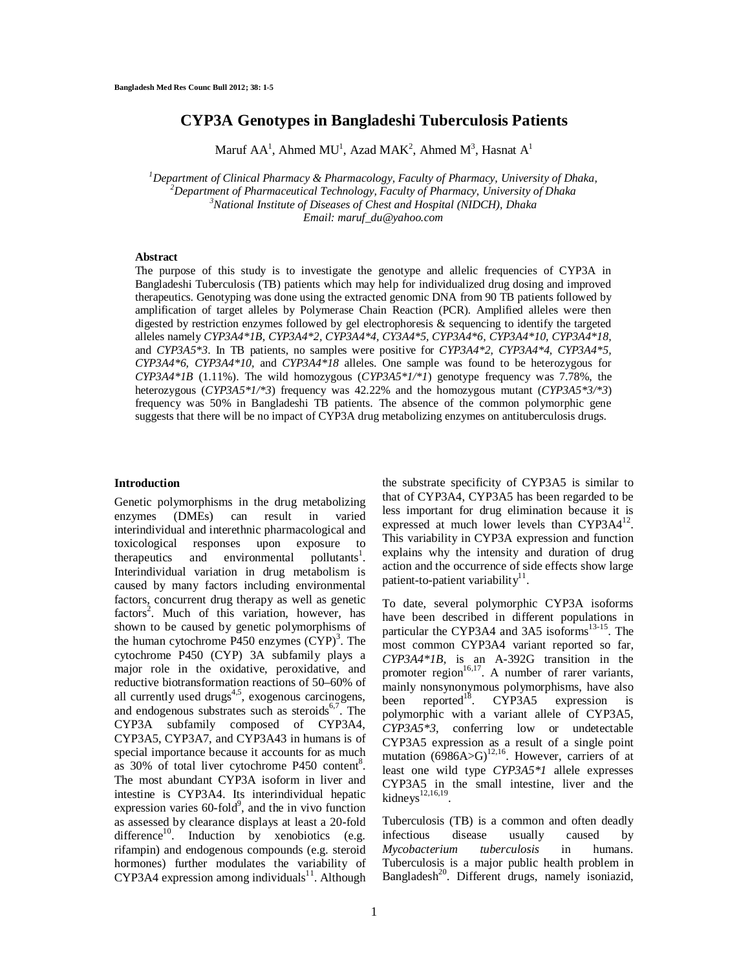# **CYP3A Genotypes in Bangladeshi Tuberculosis Patients**

Maruf AA<sup>1</sup>, Ahmed MU<sup>1</sup>, Azad MAK<sup>2</sup>, Ahmed M<sup>3</sup>, Hasnat A<sup>1</sup>

*Department of Clinical Pharmacy & Pharmacology, Faculty of Pharmacy, University of Dhaka, Department of Pharmaceutical Technology, Faculty of Pharmacy, University of Dhaka National Institute of Diseases of Chest and Hospital (NIDCH), Dhaka Email: maruf\_du@yahoo.com*

#### **Abstract**

The purpose of this study is to investigate the genotype and allelic frequencies of CYP3A in Bangladeshi Tuberculosis (TB) patients which may help for individualized drug dosing and improved therapeutics. Genotyping was done using the extracted genomic DNA from 90 TB patients followed by amplification of target alleles by Polymerase Chain Reaction (PCR). Amplified alleles were then digested by restriction enzymes followed by gel electrophoresis & sequencing to identify the targeted alleles namely *CYP3A4\*1B, CYP3A4\*2, CYP3A4\*4, CY3A4\*5, CYP3A4\*6, CYP3A4\*10, CYP3A4\*18,*  and *CYP3A5\*3*. In TB patients, no samples were positive for *CYP3A4\*2, CYP3A4\*4, CYP3A4\*5, CYP3A4\*6, CYP3A4\*10,* and *CYP3A4\*18* alleles. One sample was found to be heterozygous for *CYP3A4\*1B* (1.11%). The wild homozygous  $(CYP3A5*1/*1)$  genotype frequency was 7.78%, the heterozygous (*CYP3A5\*1/\*3*) frequency was 42.22% and the homozygous mutant (*CYP3A5\*3/\*3*) frequency was 50% in Bangladeshi TB patients. The absence of the common polymorphic gene suggests that there will be no impact of CYP3A drug metabolizing enzymes on antituberculosis drugs.

### **Introduction**

Genetic polymorphisms in the drug metabolizing enzymes (DMEs) can result in varied interindividual and interethnic pharmacological and toxicological responses upon exposure to therapeutics and environmental pollutants<sup>1</sup>. Interindividual variation in drug metabolism is caused by many factors including environmental factors, concurrent drug therapy as well as genetic factors<sup>2</sup>. Much of this variation, however, has shown to be caused by genetic polymorphisms of the human cytochrome P450 enzymes  $(CYP)^3$ . The cytochrome P450 (CYP) 3A subfamily plays a major role in the oxidative, peroxidative, and reductive biotransformation reactions of 50–60% of all currently used drugs $4.5$ , exogenous carcinogens, and endogenous substrates such as steroids<sup>6,7</sup>. The CYP3A subfamily composed of CYP3A4, CYP3A5, CYP3A7, and CYP3A43 in humans is of special importance because it accounts for as much as  $30\%$  of total liver cytochrome P450 content<sup>8</sup>. The most abundant CYP3A isoform in liver and intestine is CYP3A4. Its interindividual hepatic expression varies  $60$ -fold<sup>9</sup>, and the in vivo function as assessed by clearance displays at least a 20-fold difference<sup>10</sup>. Induction by xenobiotics (e.g. rifampin) and endogenous compounds (e.g. steroid hormones) further modulates the variability of  $CYP3A4$  expression among individuals<sup>11</sup>. Although

the substrate specificity of CYP3A5 is similar to that of CYP3A4, CYP3A5 has been regarded to be less important for drug elimination because it is expressed at much lower levels than CYP3A4<sup>12</sup>. This variability in CYP3A expression and function explains why the intensity and duration of drug action and the occurrence of side effects show large patient-to-patient variability $11$ .

To date, several polymorphic CYP3A isoforms have been described in different populations in particular the CYP3A4 and 3A5 isoforms<sup>13-15</sup>. The most common CYP3A4 variant reported so far, *CYP3A4\*1B,* is an A-392G transition in the promoter region<sup>16,17</sup>. A number of rarer variants, mainly nonsynonymous polymorphisms, have also been reported<sup>18</sup>. CYP3A5 expression is polymorphic with a variant allele of CYP3A5, *CYP3A5\*3*, conferring low or undetectable CYP3A5 expression as a result of a single point mutation  $(6986A>G)^{12,16}$ . However, carriers of at least one wild type *CYP3A5\*1* allele expresses CYP3A5 in the small intestine, liver and the  $kidneys<sup>12,16,19</sup>$ .

Tuberculosis (TB) is a common and often deadly<br>infectious disease usually caused by infectious disease usually caused *Mycobacterium tuberculosis* in humans. Tuberculosis is a major public health problem in Bangladesh<sup>20</sup>. Different drugs, namely isoniazid,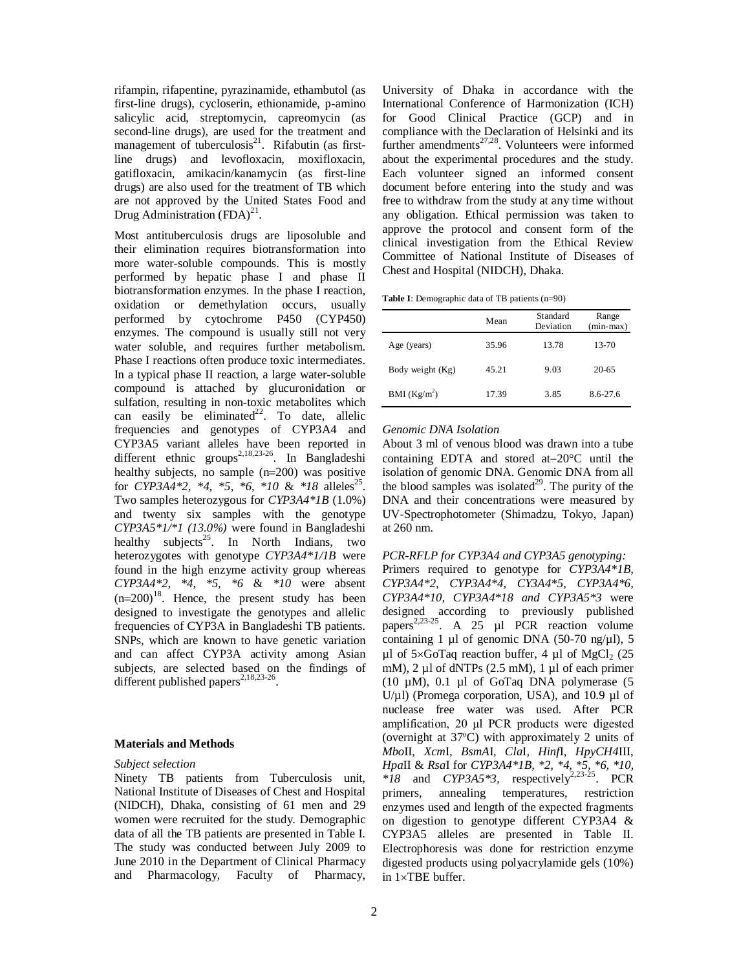rifampin, rifapentine, pyrazinamide, ethambutol (as first-line drugs), cycloserin, ethionamide, p-amino salicylic acid, streptomycin, capreomycin (as second-line drugs), are used for the treatment and management of tuberculosis<sup>21</sup>. Rifabutin (as firstline drugs) and levofloxacin, moxifloxacin, gatifloxacin, amikacin/kanamycin (as first-line drugs) are also used for the treatment of TB which are not approved by the United States Food and Drug Administration  $(FDA)^{21}$ .

Most antituberculosis drugs are liposoluble and their elimination requires biotransformation into more water-soluble compounds. This is mostly performed by hepatic phase I and phase II biotransformation enzymes. In the phase I reaction, oxidation or demethylation occurs, usually performed by cytochrome P450 (CYP450) enzymes. The compound is usually still not very water soluble, and requires further metabolism. Phase I reactions often produce toxic intermediates. In a typical phase II reaction, a large water-soluble compound is attached by glucuronidation or sulfation, resulting in non-toxic metabolites which can easily be eliminated<sup>22</sup>. To date, allelic frequencies and genotypes of CYP3A4 and CYP3A5 variant alleles have been reported in different ethnic groups<sup>2,18,23-26</sup>. In Bangladeshi healthy subjects, no sample  $(n=200)$  was positive for *CYP3A4\*2*, \*4, \*5, \*6, \*10 & \*18 alleles<sup>25</sup>. Two samples heterozygous for *CYP3A4\*1B* (1.0%) and twenty six samples with the genotype *CYP3A5\*1/\*1 (13.0%)* were found in Bangladeshi healthy subjects<sup>25</sup>. In North Indians, two heterozygotes with genotype *CYP3A4\*1/1B* were found in the high enzyme activity group whereas *CYP3A4\*2, \*4, \*5, \*6* & *\*10* were absent  $(n=200)^{18}$ . Hence, the present study has been designed to investigate the genotypes and allelic frequencies of CYP3A in Bangladeshi TB patients. SNPs, which are known to have genetic variation and can affect CYP3A activity among Asian subjects, are selected based on the findings of different published papers<sup>2,18,23-26</sup> .

## **Materials and Methods**

#### *Subject selection*

Ninety TB patients from Tuberculosis unit, National Institute of Diseases of Chest and Hospital (NIDCH), Dhaka, consisting of 61 men and 29 women were recruited for the study. Demographic data of all the TB patients are presented in Table I. The study was conducted between July 2009 to June 2010 in the Department of Clinical Pharmacy and Pharmacology, Faculty of Pharmacy,

University of Dhaka in accordance with the International Conference of Harmonization (ICH) for Good Clinical Practice (GCP) and in compliance with the Declaration of Helsinki and its further amendments $^{27,28}$ . Volunteers were informed about the experimental procedures and the study. Each volunteer signed an informed consent document before entering into the study and was free to withdraw from the study at any time without any obligation. Ethical permission was taken to approve the protocol and consent form of the clinical investigation from the Ethical Review Committee of National Institute of Diseases of Chest and Hospital (NIDCH), Dhaka.

|  | Table I: Demographic data of TB patients (n=90) |  |  |  |
|--|-------------------------------------------------|--|--|--|
|--|-------------------------------------------------|--|--|--|

|                          | Mean  | Standard<br>Deviation | Range<br>(min-max) |
|--------------------------|-------|-----------------------|--------------------|
| Age (years)              | 35.96 | 13.78                 | 13-70              |
| Body weight (Kg)         | 45.21 | 9.03                  | $20 - 65$          |
| BMI (Kg/m <sup>2</sup> ) | 17.39 | 3.85                  | 8.6-27.6           |

### *Genomic DNA Isolation*

About 3 ml of venous blood was drawn into a tube containing EDTA and stored at $-20^{\circ}$ C until the isolation of genomic DNA. Genomic DNA from all the blood samples was isolated $2^9$ . The purity of the DNA and their concentrations were measured by UV-Spectrophotometer (Shimadzu, Tokyo, Japan) at 260 nm.

*PCR-RFLP for CYP3A4 and CYP3A5 genotyping:* Primers required to genotype for *CYP3A4\*1B, CYP3A4\*2, CYP3A4\*4, CY3A4\*5, CYP3A4\*6, CYP3A4\*10, CYP3A4\*18 and CYP3A5\*3* were designed according to previously published papers<sup>2,23-25</sup>. A 25  $\mu$ 1 PCR reaction volume containing 1 µl of genomic DNA (50-70 ng/µl), 5 µl of  $5 \times$ GoTaq reaction buffer, 4 µl of MgCl<sub>2</sub> (25 mM),  $2 \mu$ l of dNTPs ( $2.5 \text{ mM}$ ),  $1 \mu$ l of each primer (10  $\mu$ M), 0.1  $\mu$ l of GoTaq DNA polymerase (5 U/ $\mu$ l) (Promega corporation, USA), and 10.9  $\mu$ l of nuclease free water was used. After PCR amplification, 20 μl PCR products were digested (overnight at 37ºC) with approximately 2 units of *Mbo*II, *Xcm*I*, BsmA*I*, Cla*I*, Hinf*I*, HpyCH4*III, *Hpa*II & *Rsa*I for *CYP3A4\*1B, \*2, \*4, \*5, \*6, \*10,*   $*18$  and *CYP3A5*<sup>\*3</sup>, respectively<sup>2,23-25</sup>. PCR primers, annealing temperatures, restriction enzymes used and length of the expected fragments on digestion to genotype different CYP3A4 & CYP3A5 alleles are presented in Table II. Electrophoresis was done for restriction enzyme digested products using polyacrylamide gels (10%) in  $1 \times TBE$  buffer.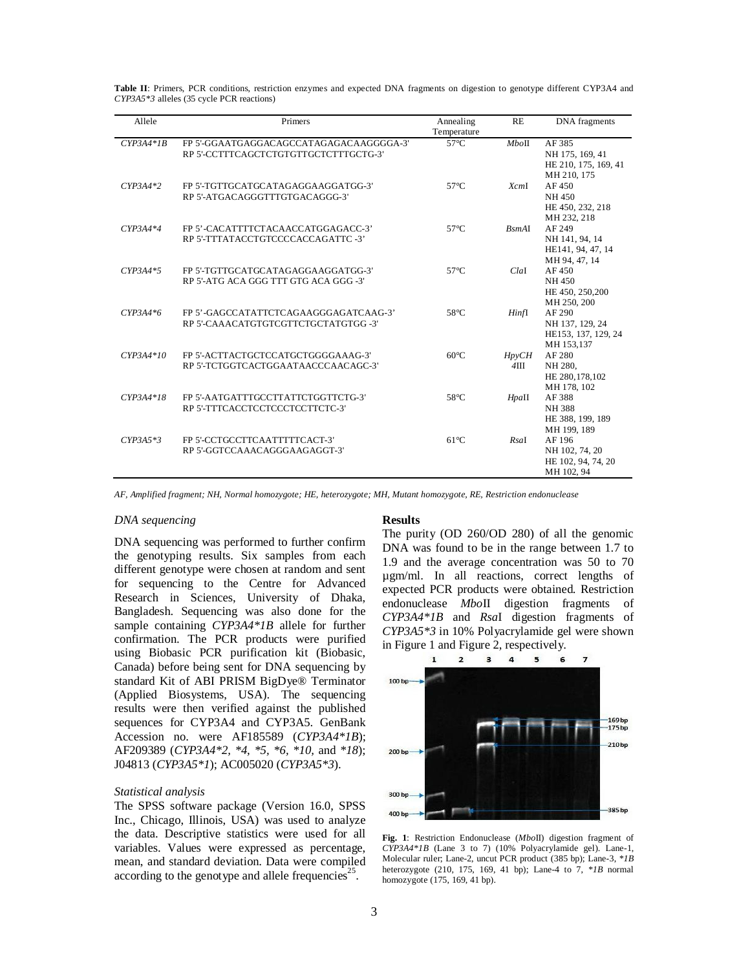| Allele      | Primers                                                                          | Annealing<br>Temperature | <b>RE</b>                      | <b>DNA</b> fragments                                             |
|-------------|----------------------------------------------------------------------------------|--------------------------|--------------------------------|------------------------------------------------------------------|
| $CYP3A4*IB$ | FP 5'-GGAATGAGGACAGCCATAGAGACAAGGGGA-3'<br>RP 5'-CCTTTCAGCTCTGTGTTGCTCTTTGCTG-3' | $57^{\circ}$ C           | MboH                           | AF 385<br>NH 175, 169, 41<br>HE 210, 175, 169, 41<br>MH 210, 175 |
| $CYP3A4*2$  | FP 5'-TGTTGCATGCATAGAGGAAGGATGG-3'<br>RP 5'-ATGACAGGGTTTGTGACAGGG-3'             | $57^{\circ}$ C           | XcmI                           | AF450<br>NH 450<br>HE 450, 232, 218<br>MH 232, 218               |
| $CYP3A4*4$  | FP 5'-CACATTTTCTACAACCATGGAGACC-3'<br>RP 5'-TTTATACCTGTCCCCACCAGATTC -3'         | $57^{\circ}$ C           | B <sub>sm</sub> A <sub>I</sub> | AF 249<br>NH 141, 94, 14<br>HE141, 94, 47, 14<br>MH 94, 47, 14   |
| $CYP3A4*5$  | FP 5'-TGTTGCATGCATAGAGGAAGGATGG-3'<br>RP 5'-ATG ACA GGG TTT GTG ACA GGG -3'      | $57^{\circ}$ C           | ClaI                           | AF450<br>NH 450<br>HE 450, 250, 200<br>MH 250, 200               |
| $CYP3A4*6$  | FP 5'-GAGCCATATTCTCAGAAGGGAGATCAAG-3'<br>RP 5'-CAAACATGTGTCGTTCTGCTATGTGG-3'     | $58^{\circ}$ C           | Hinfl                          | AF 290<br>NH 137, 129, 24<br>HE153, 137, 129, 24<br>MH 153.137   |
| $CYP3A4*10$ | FP 5'-ACTTACTGCTCCATGCTGGGGAAAG-3'<br>RP 5'-TCTGGTCACTGGAATAACCCAACAGC-3'        | $60^{\circ}$ C           | $H$ <i>p</i> $VCH$<br>$4$ III  | AF 280<br>NH 280.<br>HE 280, 178, 102<br>MH 178, 102             |
| $CYP3A4*18$ | FP 5'-AATGATTTGCCTTATTCTGGTTCTG-3'<br>RP 5'-TTTCACCTCCTCCCTCCTTCTC-3'            | $58^{\circ}$ C           | HpaII                          | AF 388<br><b>NH388</b><br>HE 388, 199, 189<br>MH 199, 189        |
| $CYP3A5*3$  | FP 5'-CCTGCCTTCAATTTTTCACT-3'<br>RP 5'-GGTCCAAACAGGGAAGAGGT-3'                   | $61^{\circ}$ C           | RsaI                           | AF 196<br>NH 102, 74, 20<br>HE 102, 94, 74, 20<br>MH 102, 94     |

**Table II**: Primers, PCR conditions, restriction enzymes and expected DNA fragments on digestion to genotype different CYP3A4 and *CYP3A5\*3* alleles (35 cycle PCR reactions)

*AF, Amplified fragment; NH, Normal homozygote; HE, heterozygote; MH, Mutant homozygote, RE, Restriction endonuclease*

# *DNA sequencing*

DNA sequencing was performed to further confirm the genotyping results. Six samples from each different genotype were chosen at random and sent for sequencing to the Centre for Advanced Research in Sciences, University of Dhaka, Bangladesh. Sequencing was also done for the sample containing *CYP3A4\*1B* allele for further confirmation. The PCR products were purified using Biobasic PCR purification kit (Biobasic, Canada) before being sent for DNA sequencing by standard Kit of ABI PRISM BigDye® Terminator (Applied Biosystems, USA). The sequencing results were then verified against the published sequences for CYP3A4 and CYP3A5. GenBank Accession no. were AF185589 (*CYP3A4\*1B*); AF209389 (*CYP3A4\*2, \*4, \*5, \*6, \*10,* and *\*18*); J04813 (*CYP3A5\*1*); AC005020 (*CYP3A5\*3*).

### *Statistical analysis*

The SPSS software package (Version 16.0, SPSS Inc., Chicago, Illinois, USA) was used to analyze the data. Descriptive statistics were used for all variables. Values were expressed as percentage, mean, and standard deviation. Data were compiled according to the genotype and allele frequencies $25$ .

## **Results**

The purity (OD 260/OD 280) of all the genomic DNA was found to be in the range between 1.7 to 1.9 and the average concentration was 50 to 70 µgm/ml. In all reactions, correct lengths of expected PCR products were obtained. Restriction endonuclease *Mbo*II digestion fragments of *CYP3A4\*1B* and *Rsa*I digestion fragments of *CYP3A5\*3* in 10% Polyacrylamide gel were shown in Figure 1 and Figure 2, respectively.



**Fig. 1**: Restriction Endonuclease (*Mbo*II) digestion fragment of *CYP3A4\*1B* (Lane 3 to 7) (10% Polyacrylamide gel). Lane-1, Molecular ruler; Lane-2, uncut PCR product (385 bp); Lane-3, *\*1B* heterozygote (210, 175, 169, 41 bp); Lane-4 to 7, *\*1B* normal homozygote (175, 169, 41 bp).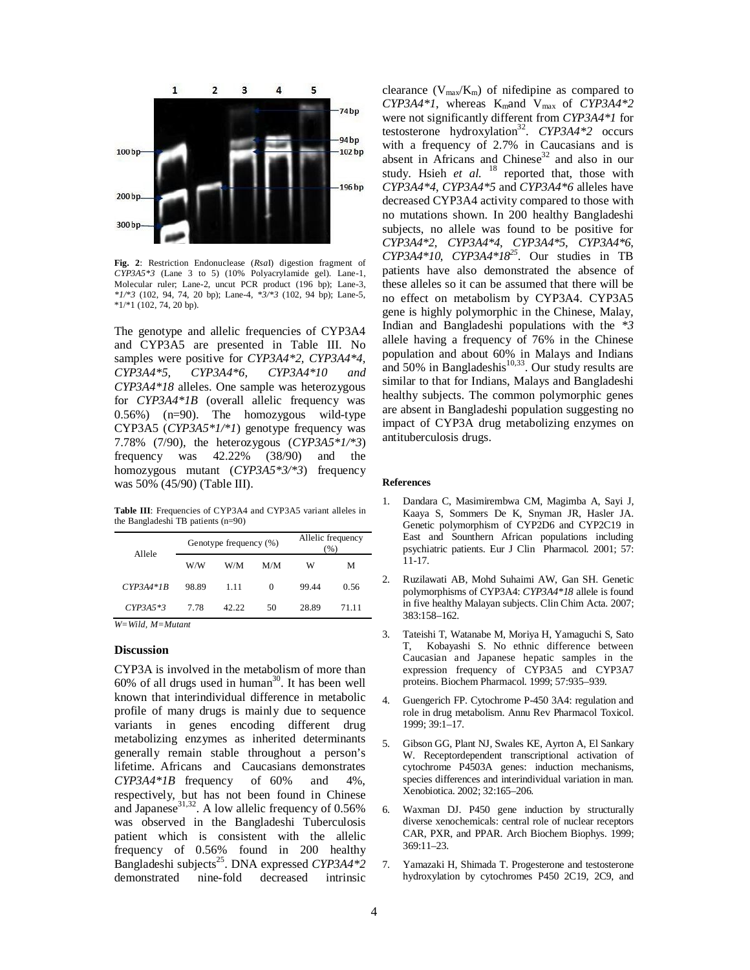

**Fig. 2**: Restriction Endonuclease (*Rsa*I) digestion fragment of *CYP3A5\*3* (Lane 3 to 5) (10% Polyacrylamide gel). Lane-1, Molecular ruler; Lane-2, uncut PCR product (196 bp); Lane-3, *\*1/\*3* (102, 94, 74, 20 bp); Lane-4, *\*3/\*3* (102, 94 bp); Lane-5, \*1/\*1 (102, 74, 20 bp).

The genotype and allelic frequencies of CYP3A4 and CYP3A5 are presented in Table III. No samples were positive for *CYP3A4\*2, CYP3A4\*4, CYP3A4\*5, CYP3A4\*6, CYP3A4\*10 and CYP3A4\*18* alleles. One sample was heterozygous for *CYP3A4\*1B* (overall allelic frequency was 0.56%) (n=90). The homozygous wild-type CYP3A5 (*CYP3A5\*1/\*1*) genotype frequency was 7.78% (7/90), the heterozygous (*CYP3A5\*1/\*3*) frequency was 42.22% (38/90) and the homozygous mutant (*CYP3A5\*3/\*3*) frequency was 50% (45/90) (Table III).

**Table III**: Frequencies of CYP3A4 and CYP3A5 variant alleles in the Bangladeshi TB patients (n=90)

| Allele      | Genotype frequency (%) |       | Allelic frequency<br>(%) |       |       |
|-------------|------------------------|-------|--------------------------|-------|-------|
|             | W/W                    | W/M   | M/M                      | w     | М     |
| $CYP3A4*IB$ | 98.89                  | 1.11  | $\Omega$                 | 99.44 | 0.56  |
| $CYP3A5*3$  | 7.78                   | 42.22 | 50                       | 28.89 | 71.11 |

*W=Wild, M=Mutant*

### **Discussion**

CYP3A is involved in the metabolism of more than  $60\%$  of all drugs used in human<sup>30</sup>. It has been well known that interindividual difference in metabolic profile of many drugs is mainly due to sequence variants in genes encoding different drug metabolizing enzymes as inherited determinants generally remain stable throughout a person's lifetime. Africans and Caucasians demonstrates *CYP3A4\*1B* frequency of 60% and 4%, respectively, but has not been found in Chinese and Japanese<sup>31,32</sup>. A low allelic frequency of  $0.56\%$ was observed in the Bangladeshi Tuberculosis patient which is consistent with the allelic frequency of 0.56% found in 200 healthy Bangladeshi subjects<sup>25</sup>. DNA expressed CYP3A4\*2 demonstrated nine-fold decreased intrinsic

clearance  $(V_{max}/K_m)$  of nifedipine as compared to *CYP3A4\*1*, whereas Kmand Vmax of *CYP3A4\*2* were not significantly different from *CYP3A4\*1* for testosterone hydroxylation<sup>32</sup>. *CYP3A4\*2* occurs with a frequency of 2.7% in Caucasians and is absent in Africans and Chinese<sup>32</sup> and also in our study. Hsieh *et al.* <sup>18</sup> reported that, those with *CYP3A4\*4*, *CYP3A4\*5* and *CYP3A4\*6* alleles have decreased CYP3A4 activity compared to those with no mutations shown. In 200 healthy Bangladeshi subjects, no allele was found to be positive for *CYP3A4\*2*, *CYP3A4\*4*, *CYP3A4\*5*, *CYP3A4\*6*, *CYP3A4\*10*, *CYP3A4\*18<sup>25</sup>* . Our studies in TB patients have also demonstrated the absence of these alleles so it can be assumed that there will be no effect on metabolism by CYP3A4. CYP3A5 gene is highly polymorphic in the Chinese, Malay, Indian and Bangladeshi populations with the *\*3* allele having a frequency of 76% in the Chinese population and about 60% in Malays and Indians and 50% in Bangladeshis<sup>10,33</sup>. Our study results are similar to that for Indians, Malays and Bangladeshi healthy subjects. The common polymorphic genes are absent in Bangladeshi population suggesting no impact of CYP3A drug metabolizing enzymes on antituberculosis drugs.

#### **References**

- 1. Dandara C, Masimirembwa CM, Magimba A, Sayi J, Kaaya S, Sommers De K, Snyman JR, Hasler JA. Genetic polymorphism of CYP2D6 and CYP2C19 in East and Sounthern African populations including psychiatric patients. Eur J Clin Pharmacol. 2001; 57: 11-17.
- 2. Ruzilawati AB, Mohd Suhaimi AW, Gan SH. Genetic polymorphisms of CYP3A4: *CYP3A4\*18* allele is found in five healthy Malayan subjects. Clin Chim Acta. 2007; 383:158–162.
- 3. Tateishi T, Watanabe M, Moriya H, Yamaguchi S, Sato T, Kobayashi S. No ethnic difference between Caucasian and Japanese hepatic samples in the expression frequency of CYP3A5 and CYP3A7 proteins. Biochem Pharmacol. 1999; 57:935–939.
- 4. Guengerich FP. Cytochrome P-450 3A4: regulation and role in drug metabolism. Annu Rev Pharmacol Toxicol. 1999; 39:1–17.
- 5. Gibson GG, Plant NJ, Swales KE, Ayrton A, El Sankary W. Receptordependent transcriptional activation of cytochrome P4503A genes: induction mechanisms, species differences and interindividual variation in man. Xenobiotica. 2002; 32:165–206.
- 6. Waxman DJ. P450 gene induction by structurally diverse xenochemicals: central role of nuclear receptors CAR, PXR, and PPAR. Arch Biochem Biophys. 1999; 369:11–23.
- 7. Yamazaki H, Shimada T. Progesterone and testosterone hydroxylation by cytochromes P450 2C19, 2C9, and